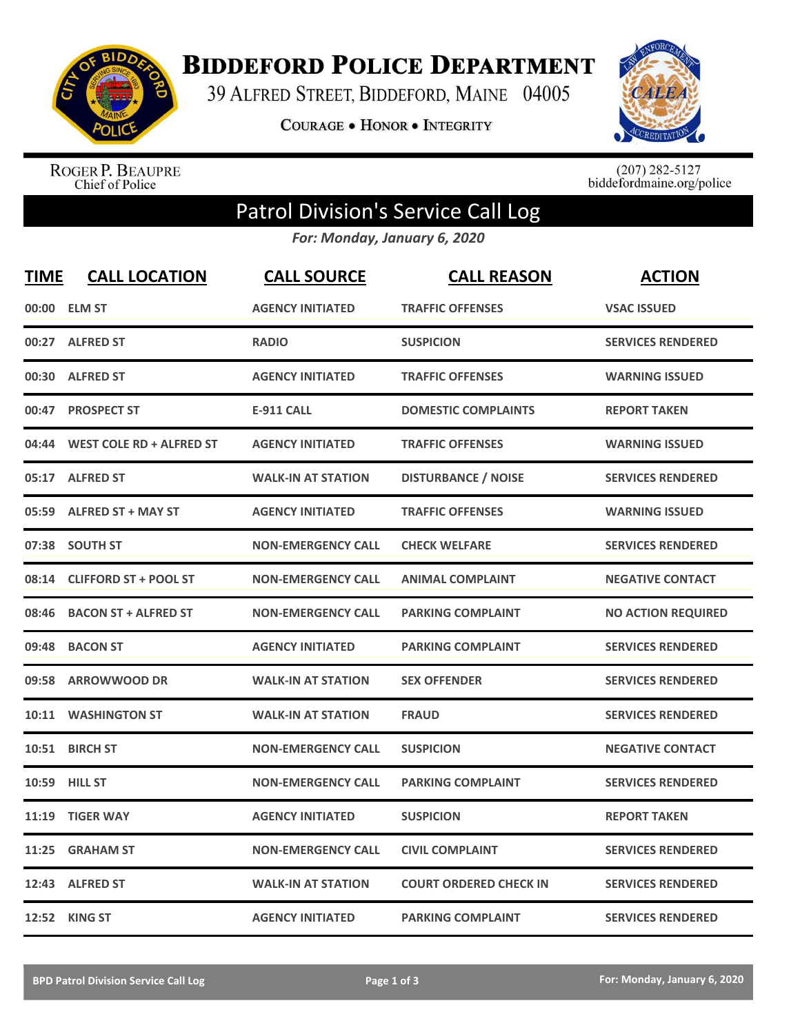

**BIDDEFORD POLICE DEPARTMENT** 

39 ALFRED STREET, BIDDEFORD, MAINE 04005

**COURAGE . HONOR . INTEGRITY** 



ROGER P. BEAUPRE<br>Chief of Police

 $(207)$  282-5127<br>biddefordmaine.org/police

## Patrol Division's Service Call Log

*For: Monday, January 6, 2020*

| <b>TIME</b> | <b>CALL LOCATION</b>         | <b>CALL SOURCE</b>        | <b>CALL REASON</b>            | <b>ACTION</b>             |
|-------------|------------------------------|---------------------------|-------------------------------|---------------------------|
| 00:00       | <b>ELM ST</b>                | <b>AGENCY INITIATED</b>   | <b>TRAFFIC OFFENSES</b>       | <b>VSAC ISSUED</b>        |
| 00:27       | <b>ALFRED ST</b>             | <b>RADIO</b>              | <b>SUSPICION</b>              | <b>SERVICES RENDERED</b>  |
| 00:30       | <b>ALFRED ST</b>             | <b>AGENCY INITIATED</b>   | <b>TRAFFIC OFFENSES</b>       | <b>WARNING ISSUED</b>     |
| 00:47       | <b>PROSPECT ST</b>           | <b>E-911 CALL</b>         | <b>DOMESTIC COMPLAINTS</b>    | <b>REPORT TAKEN</b>       |
| 04:44       | WEST COLE RD + ALFRED ST     | <b>AGENCY INITIATED</b>   | <b>TRAFFIC OFFENSES</b>       | <b>WARNING ISSUED</b>     |
|             | 05:17 ALFRED ST              | <b>WALK-IN AT STATION</b> | <b>DISTURBANCE / NOISE</b>    | <b>SERVICES RENDERED</b>  |
| 05:59       | <b>ALFRED ST + MAY ST</b>    | <b>AGENCY INITIATED</b>   | <b>TRAFFIC OFFENSES</b>       | <b>WARNING ISSUED</b>     |
| 07:38       | <b>SOUTH ST</b>              | <b>NON-EMERGENCY CALL</b> | <b>CHECK WELFARE</b>          | <b>SERVICES RENDERED</b>  |
| 08:14       | <b>CLIFFORD ST + POOL ST</b> | <b>NON-EMERGENCY CALL</b> | <b>ANIMAL COMPLAINT</b>       | <b>NEGATIVE CONTACT</b>   |
| 08:46       | <b>BACON ST + ALFRED ST</b>  | <b>NON-EMERGENCY CALL</b> | <b>PARKING COMPLAINT</b>      | <b>NO ACTION REQUIRED</b> |
| 09:48       | <b>BACON ST</b>              | <b>AGENCY INITIATED</b>   | <b>PARKING COMPLAINT</b>      | <b>SERVICES RENDERED</b>  |
| 09:58       | <b>ARROWWOOD DR</b>          | <b>WALK-IN AT STATION</b> | <b>SEX OFFENDER</b>           | <b>SERVICES RENDERED</b>  |
| 10:11       | <b>WASHINGTON ST</b>         | <b>WALK-IN AT STATION</b> | <b>FRAUD</b>                  | <b>SERVICES RENDERED</b>  |
| 10:51       | <b>BIRCH ST</b>              | <b>NON-EMERGENCY CALL</b> | <b>SUSPICION</b>              | <b>NEGATIVE CONTACT</b>   |
| 10:59       | <b>HILL ST</b>               | <b>NON-EMERGENCY CALL</b> | <b>PARKING COMPLAINT</b>      | <b>SERVICES RENDERED</b>  |
| 11:19       | <b>TIGER WAY</b>             | <b>AGENCY INITIATED</b>   | <b>SUSPICION</b>              | <b>REPORT TAKEN</b>       |
| 11:25       | <b>GRAHAM ST</b>             | <b>NON-EMERGENCY CALL</b> | <b>CIVIL COMPLAINT</b>        | <b>SERVICES RENDERED</b>  |
|             | 12:43 ALFRED ST              | <b>WALK-IN AT STATION</b> | <b>COURT ORDERED CHECK IN</b> | <b>SERVICES RENDERED</b>  |
|             | 12:52 KING ST                | <b>AGENCY INITIATED</b>   | <b>PARKING COMPLAINT</b>      | <b>SERVICES RENDERED</b>  |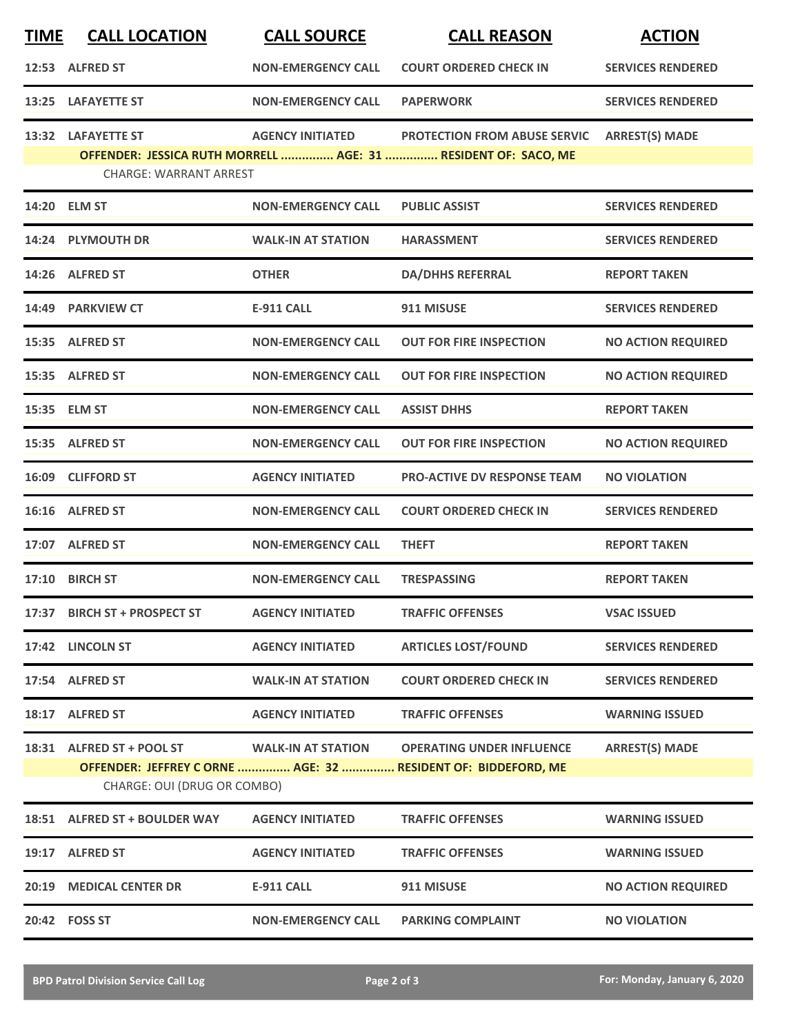| <b>TIME</b> | <b>CALL LOCATION</b>                                     | <b>CALL SOURCE</b>        | <b>CALL REASON</b>                                                                                    | <b>ACTION</b>             |
|-------------|----------------------------------------------------------|---------------------------|-------------------------------------------------------------------------------------------------------|---------------------------|
|             | 12:53 ALFRED ST                                          | <b>NON-EMERGENCY CALL</b> | <b>COURT ORDERED CHECK IN</b>                                                                         | <b>SERVICES RENDERED</b>  |
|             | 13:25 LAFAYETTE ST                                       | <b>NON-EMERGENCY CALL</b> | <b>PAPERWORK</b>                                                                                      | <b>SERVICES RENDERED</b>  |
|             | 13:32 LAFAYETTE ST<br><b>CHARGE: WARRANT ARREST</b>      | <b>AGENCY INITIATED</b>   | <b>PROTECTION FROM ABUSE SERVIC</b><br>OFFENDER: JESSICA RUTH MORRELL  AGE: 31  RESIDENT OF: SACO, ME | <b>ARREST(S) MADE</b>     |
|             | 14:20 ELM ST                                             | <b>NON-EMERGENCY CALL</b> | <b>PUBLIC ASSIST</b>                                                                                  | <b>SERVICES RENDERED</b>  |
|             | 14:24 PLYMOUTH DR                                        | <b>WALK-IN AT STATION</b> | <b>HARASSMENT</b>                                                                                     | <b>SERVICES RENDERED</b>  |
|             | 14:26 ALFRED ST                                          | <b>OTHER</b>              | <b>DA/DHHS REFERRAL</b>                                                                               | <b>REPORT TAKEN</b>       |
|             | 14:49 PARKVIEW CT                                        | <b>E-911 CALL</b>         | 911 MISUSE                                                                                            | <b>SERVICES RENDERED</b>  |
| 15:35       | <b>ALFRED ST</b>                                         | <b>NON-EMERGENCY CALL</b> | <b>OUT FOR FIRE INSPECTION</b>                                                                        | <b>NO ACTION REQUIRED</b> |
|             | 15:35 ALFRED ST                                          | <b>NON-EMERGENCY CALL</b> | <b>OUT FOR FIRE INSPECTION</b>                                                                        | <b>NO ACTION REQUIRED</b> |
|             | 15:35 ELM ST                                             | <b>NON-EMERGENCY CALL</b> | <b>ASSIST DHHS</b>                                                                                    | <b>REPORT TAKEN</b>       |
|             | 15:35 ALFRED ST                                          | <b>NON-EMERGENCY CALL</b> | <b>OUT FOR FIRE INSPECTION</b>                                                                        | <b>NO ACTION REQUIRED</b> |
|             | 16:09 CLIFFORD ST                                        | <b>AGENCY INITIATED</b>   | <b>PRO-ACTIVE DV RESPONSE TEAM</b>                                                                    | <b>NO VIOLATION</b>       |
|             | 16:16 ALFRED ST                                          | <b>NON-EMERGENCY CALL</b> | <b>COURT ORDERED CHECK IN</b>                                                                         | <b>SERVICES RENDERED</b>  |
|             | 17:07 ALFRED ST                                          | <b>NON-EMERGENCY CALL</b> | <b>THEFT</b>                                                                                          | <b>REPORT TAKEN</b>       |
|             | 17:10 BIRCH ST                                           | <b>NON-EMERGENCY CALL</b> | <b>TRESPASSING</b>                                                                                    | <b>REPORT TAKEN</b>       |
|             | 17:37 BIRCH ST + PROSPECT ST                             | <b>AGENCY INITIATED</b>   | <b>TRAFFIC OFFENSES</b>                                                                               | <b>VSAC ISSUED</b>        |
|             | 17:42 LINCOLN ST                                         | <b>AGENCY INITIATED</b>   | <b>ARTICLES LOST/FOUND</b>                                                                            | <b>SERVICES RENDERED</b>  |
|             | 17:54 ALFRED ST                                          | <b>WALK-IN AT STATION</b> | <b>COURT ORDERED CHECK IN</b>                                                                         | <b>SERVICES RENDERED</b>  |
|             | 18:17 ALFRED ST                                          | <b>AGENCY INITIATED</b>   | <b>TRAFFIC OFFENSES</b>                                                                               | <b>WARNING ISSUED</b>     |
|             | 18:31 ALFRED ST + POOL ST<br>CHARGE: OUI (DRUG OR COMBO) | <b>WALK-IN AT STATION</b> | <b>OPERATING UNDER INFLUENCE</b><br>OFFENDER: JEFFREY CORNE  AGE: 32  RESIDENT OF: BIDDEFORD, ME      | <b>ARREST(S) MADE</b>     |
|             | 18:51 ALFRED ST + BOULDER WAY                            | <b>AGENCY INITIATED</b>   | <b>TRAFFIC OFFENSES</b>                                                                               | <b>WARNING ISSUED</b>     |
|             | 19:17 ALFRED ST                                          | <b>AGENCY INITIATED</b>   | <b>TRAFFIC OFFENSES</b>                                                                               | <b>WARNING ISSUED</b>     |
|             | 20:19 MEDICAL CENTER DR                                  | <b>E-911 CALL</b>         | 911 MISUSE                                                                                            | <b>NO ACTION REQUIRED</b> |
|             | 20:42 FOSS ST                                            | <b>NON-EMERGENCY CALL</b> | <b>PARKING COMPLAINT</b>                                                                              | <b>NO VIOLATION</b>       |